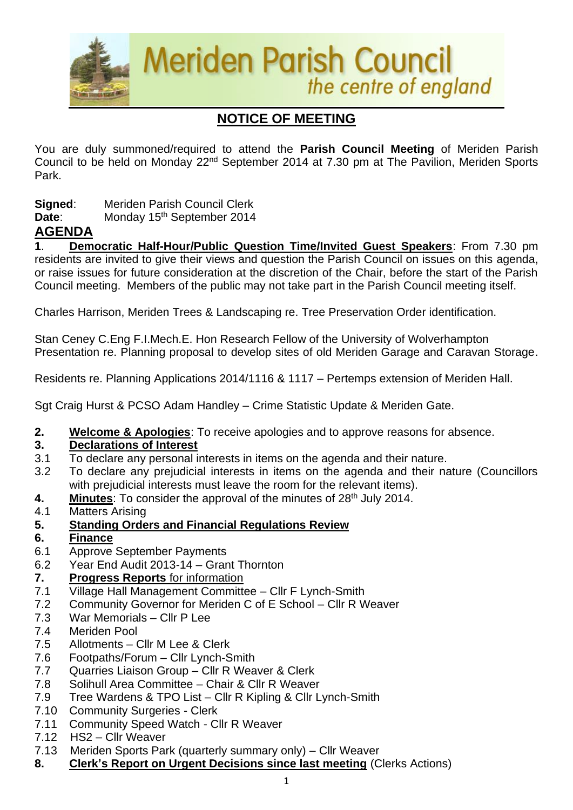

# **NOTICE OF MEETING**

You are duly summoned/required to attend the **Parish Council Meeting** of Meriden Parish Council to be held on Monday 22<sup>nd</sup> September 2014 at 7.30 pm at The Pavilion, Meriden Sports Park.

**Signed**: Meriden Parish Council Clerk

Date: Monday 15<sup>th</sup> September 2014

# **AGENDA**

**1**. **Democratic Half-Hour/Public Question Time/Invited Guest Speakers**: From 7.30 pm residents are invited to give their views and question the Parish Council on issues on this agenda, or raise issues for future consideration at the discretion of the Chair, before the start of the Parish Council meeting. Members of the public may not take part in the Parish Council meeting itself.

Charles Harrison, Meriden Trees & Landscaping re. Tree Preservation Order identification.

Stan Ceney C.Eng F.I.Mech.E. Hon Research Fellow of the University of Wolverhampton Presentation re. Planning proposal to develop sites of old Meriden Garage and Caravan Storage.

Residents re. Planning Applications 2014/1116 & 1117 – Pertemps extension of Meriden Hall.

Sgt Craig Hurst & PCSO Adam Handley – Crime Statistic Update & Meriden Gate.

**2. Welcome & Apologies**: To receive apologies and to approve reasons for absence.

### **3. Declarations of Interest**

- 3.1 To declare any personal interests in items on the agenda and their nature.
- 3.2 To declare any prejudicial interests in items on the agenda and their nature (Councillors with prejudicial interests must leave the room for the relevant items).
- 4. Minutes: To consider the approval of the minutes of 28<sup>th</sup> July 2014.
- 4.1 Matters Arising
- **5. Standing Orders and Financial Regulations Review**
- **6. Finance**
- 6.1 Approve September Payments
- 6.2 Year End Audit 2013-14 Grant Thornton

### **7. Progress Reports** for information

- 7.1 Village Hall Management Committee Cllr F Lynch-Smith
- 7.2 Community Governor for Meriden C of E School Cllr R Weaver
- 7.3 War Memorials Cllr P Lee
- 7.4 Meriden Pool
- 7.5 Allotments Cllr M Lee & Clerk
- 7.6 Footpaths/Forum Cllr Lynch-Smith
- 7.7 Quarries Liaison Group Cllr R Weaver & Clerk
- 7.8 Solihull Area Committee Chair & Cllr R Weaver
- 7.9 Tree Wardens & TPO List Cllr R Kipling & Cllr Lynch-Smith
- 7.10 Community Surgeries Clerk
- 7.11 Community Speed Watch Cllr R Weaver
- 7.12 HS2 Cllr Weaver
- 7.13Meriden Sports Park (quarterly summary only) Cllr Weaver
- **8. Clerk's Report on Urgent Decisions since last meeting** (Clerks Actions)